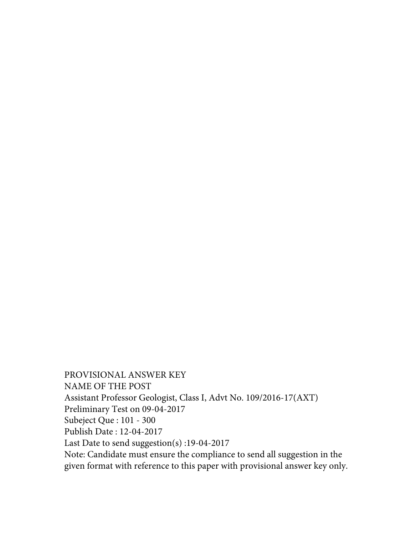PROVISIONAL ANSWER KEY NAME OF THE POST Assistant Professor Geologist, Class I, Advt No. 109/2016-17(AXT) Preliminary Test on 09-04-2017 Subeject Que : 101 - 300 Publish Date : 12-04-2017 Last Date to send suggestion(s) :19-04-2017 Note: Candidate must ensure the compliance to send all suggestion in the given format with reference to this paper with provisional answer key only.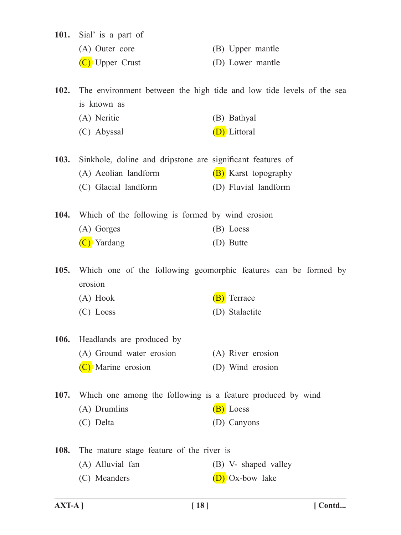- **101.** Sial' is a part of
	- (A) Outer core (B) Upper mantle
	- (C) Upper Crust (D) Lower mantle

**102.** The environment between the high tide and low tide levels of the sea is known as

- (A) Neritic (B) Bathyal
- (C) Abyssal  $(D)$  Littoral
- **103.** Sinkhole, doline and dripstone are significant features of (A) Aeolian landform  $(B)$  Karst topography (C) Glacial landform (D) Fluvial landform
- **104.** Which of the following is formed by wind erosion (A) Gorges (B) Loess  $(C)$  Yardang (D) Butte

**105.** Which one of the following geomorphic features can be formed by erosion

- (A) Hook  $(B)$  Terrace
- (C) Loess (D) Stalactite
- **106.** Headlands are produced by (A) Ground water erosion (A) River erosion (C) Marine erosion (D) Wind erosion

**107.** Which one among the following is a feature produced by wind

- (A) Drumlins  $(B)$  Loess
- (C) Delta (D) Canyons

108. The mature stage feature of the river is (A) Alluvial fan (B) V- shaped valley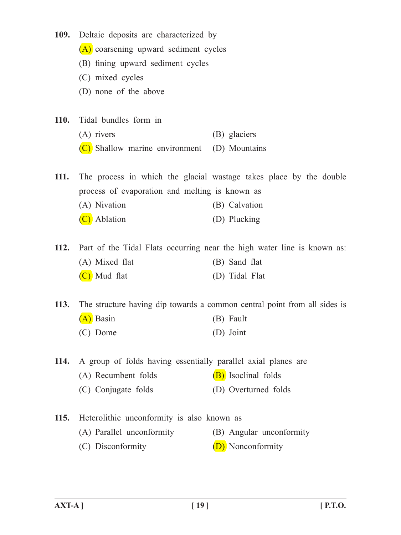| <b>109.</b>      | Deltaic deposits are characterized by                                        |                                                                    |  |
|------------------|------------------------------------------------------------------------------|--------------------------------------------------------------------|--|
|                  | (A) coarsening upward sediment cycles<br>(B) fining upward sediment cycles   |                                                                    |  |
|                  |                                                                              |                                                                    |  |
| (C) mixed cycles |                                                                              |                                                                    |  |
|                  | (D) none of the above                                                        |                                                                    |  |
| <b>110.</b>      | Tidal bundles form in                                                        |                                                                    |  |
|                  | $(A)$ rivers                                                                 | (B) glaciers                                                       |  |
|                  | (C) Shallow marine environment (D) Mountains                                 |                                                                    |  |
| <b>111.</b>      |                                                                              | The process in which the glacial wastage takes place by the double |  |
|                  | process of evaporation and melting is known as                               |                                                                    |  |
|                  | (A) Nivation                                                                 | (B) Calvation                                                      |  |
|                  | (C) Ablation                                                                 | (D) Plucking                                                       |  |
|                  | 112. Part of the Tidal Flats occurring near the high water line is known as: |                                                                    |  |
|                  | (A) Mixed flat                                                               | (B) Sand flat                                                      |  |
|                  | (C) Mud flat                                                                 | (D) Tidal Flat                                                     |  |
| <b>113.</b>      | The structure having dip towards a common central point from all sides is    |                                                                    |  |
|                  | (A) Basin                                                                    | (B) Fault                                                          |  |
|                  | (C) Dome                                                                     | (D) Joint                                                          |  |
| <b>114.</b>      | A group of folds having essentially parallel axial planes are                |                                                                    |  |
|                  | (A) Recumbent folds                                                          | (B) Isoclinal folds                                                |  |
|                  | (C) Conjugate folds                                                          | (D) Overturned folds                                               |  |
| <b>115.</b>      | Heterolithic unconformity is also known as                                   |                                                                    |  |
|                  | (A) Parallel unconformity                                                    | (B) Angular unconformity                                           |  |
|                  | (C) Disconformity                                                            | (D) Nonconformity                                                  |  |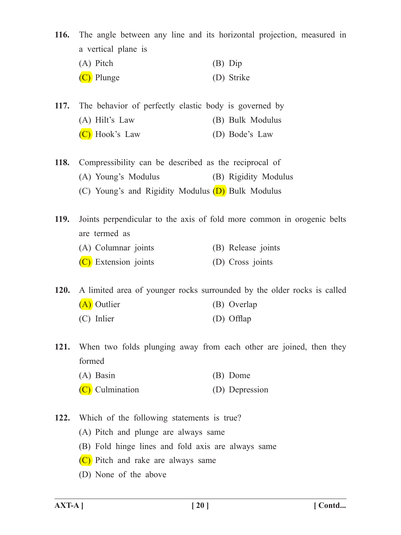| <b>116.</b> | a vertical plane is                                                     | The angle between any line and its horizontal projection, measured in  |
|-------------|-------------------------------------------------------------------------|------------------------------------------------------------------------|
|             | (A) Pitch                                                               | $(B)$ Dip                                                              |
|             | (C) Plunge                                                              | (D) Strike                                                             |
| <b>117.</b> | The behavior of perfectly elastic body is governed by                   |                                                                        |
|             | $(A)$ Hilt's Law                                                        | (B) Bulk Modulus                                                       |
|             | (C) Hook's Law                                                          | (D) Bode's Law                                                         |
| <b>118.</b> | Compressibility can be described as the reciprocal of                   |                                                                        |
|             | (A) Young's Modulus                                                     | (B) Rigidity Modulus                                                   |
|             | (C) Young's and Rigidity Modulus (D) Bulk Modulus                       |                                                                        |
| <b>119.</b> | are termed as                                                           | Joints perpendicular to the axis of fold more common in orogenic belts |
|             | (A) Columnar joints                                                     | (B) Release joints                                                     |
|             | $(C)$ Extension joints                                                  | (D) Cross joints                                                       |
| <b>120.</b> | A limited area of younger rocks surrounded by the older rocks is called |                                                                        |
|             | (A) Outlier                                                             | (B) Overlap                                                            |
|             | (C) Inlier                                                              | (D) Offlap                                                             |
| <b>121.</b> |                                                                         | When two folds plunging away from each other are joined, then they     |
|             | formed                                                                  |                                                                        |
|             | $(A)$ Basin                                                             | (B) Dome                                                               |
|             | $(C)$ Culmination                                                       | (D) Depression                                                         |
| 122.        | Which of the following statements is true?                              |                                                                        |
|             | (A) Pitch and plunge are always same                                    |                                                                        |

 (B) Fold hinge lines and fold axis are always same

(C) Pitch and rake are always same

(D) None of the above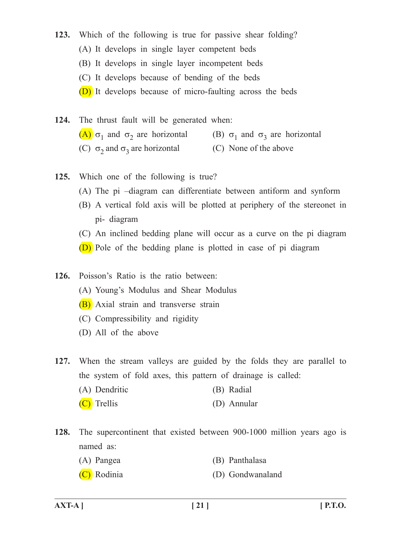- **123.** Which of the following is true for passive shear folding? (A) It develops in single layer competent beds (B) It develops in single layer incompetent beds (C) It develops because of bending of the beds (D) It develops because of micro-faulting across the beds
- 124. The thrust fault will be generated when: (A)  $\sigma_1$  and  $\sigma_2$  are horizontal (B)  $\sigma_1$  and  $\sigma_3$  are horizontal (C)  $\sigma_2$  and  $\sigma_3$  are horizontal (C) None of the above
- **125.** Which one of the following is true?
	- (A) The pi –diagram can differentiate between antiform and synform
	- (B) A vertical fold axis will be plotted at periphery of the stereonet in pi- diagram
	- (C) An inclined bedding plane will occur as a curve on the pi diagram
	- (D) Pole of the bedding plane is plotted in case of pi diagram
- **126.** Poisson's Ratio is the ratio between:
	- (A) Young's Modulus and Shear Modulus
	- (B) Axial strain and transverse strain
	- (C) Compressibility and rigidity
	- (D) All of the above

**127.** When the stream valleys are guided by the folds they are parallel to the system of fold axes, this pattern of drainage is called:

- (A) Dendritic (B) Radial
- $(C)$  Trellis (D) Annular
- **128.** The supercontinent that existed between 900-1000 million years ago is named as:
	- (A) Pangea (B) Panthalasa
	- (C) Rodinia (D) Gondwanaland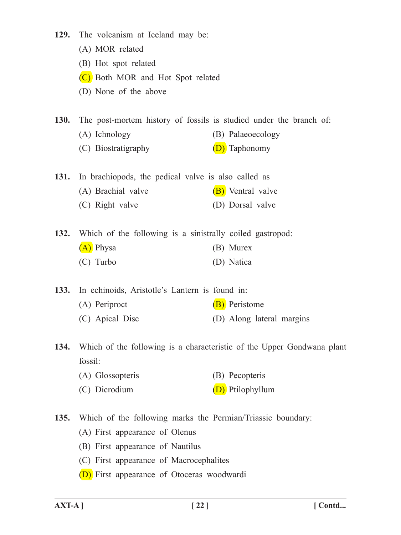- 129. The volcanism at Iceland may be:
	- (A) MOR related
	- (B) Hot spot related
	- (C) Both MOR and Hot Spot related
	- (D) None of the above

**130.** The post-mortem history of fossils is studied under the branch of:

- (A) Ichnology (B) Palaeoecology
- (C) Biostratigraphy (D) Taphonomy

**131.** In brachiopods, the pedical valve is also called as

- (A) Brachial valve  $(B)$  Ventral valve
- (C) Right valve (D) Dorsal valve

**132.** Which of the following is a sinistrally coiled gastropod:  $(A)$  Physa (B) Murex (C) Turbo (D) Natica

133. In echinoids, Aristotle's Lantern is found in: (A) Periproct (B) Peristome (C) Apical Disc (D) Along lateral margins

**134.** Which of the following is a characteristic of the Upper Gondwana plant fossil:

- (A) Glossopteris (B) Pecopteris
- (C) Dicrodium  $(D)$  Ptilophyllum

135. Which of the following marks the Permian/Triassic boundary:

- (A) First appearance of Olenus
- (B) First appearance of Nautilus
- (C) First appearance of Macrocephalites
- **(D)** First appearance of Otoceras woodwardi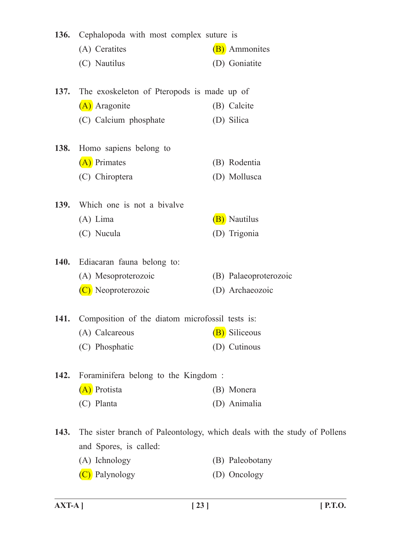| 136. | Cephalopoda with most complex suture is                                  |                       |
|------|--------------------------------------------------------------------------|-----------------------|
|      | (A) Ceratites                                                            | (B) Ammonites         |
|      | (C) Nautilus                                                             | (D) Goniatite         |
| 137. | The exoskeleton of Pteropods is made up of                               |                       |
|      | (A) Aragonite                                                            | (B) Calcite           |
|      | (C) Calcium phosphate                                                    | (D) Silica            |
| 138. | Homo sapiens belong to                                                   |                       |
|      | (A) Primates                                                             | (B) Rodentia          |
|      | (C) Chiroptera                                                           | (D) Mollusca          |
| 139. | Which one is not a bivalve                                               |                       |
|      | $(A)$ Lima                                                               | (B) Nautilus          |
|      | (C) Nucula                                                               | (D) Trigonia          |
| 140. | Ediacaran fauna belong to:                                               |                       |
|      | (A) Mesoproterozoic                                                      | (B) Palaeoproterozoic |
|      | (C) Neoproterozoic                                                       | (D) Archaeozoic       |
| 141. | Composition of the diatom microfossil tests is:                          |                       |
|      | (A) Calcareous                                                           | (B) Siliceous         |
|      | (C) Phosphatic                                                           | (D) Cutinous          |
| 142. | Foraminifera belong to the Kingdom:                                      |                       |
|      | (A) Protista                                                             | (B) Monera            |
|      | (C) Planta                                                               | (D) Animalia          |
| 143. | The sister branch of Paleontology, which deals with the study of Pollens |                       |
|      | and Spores, is called:                                                   |                       |
|      | (A) Ichnology                                                            | (B) Paleobotany       |
|      |                                                                          |                       |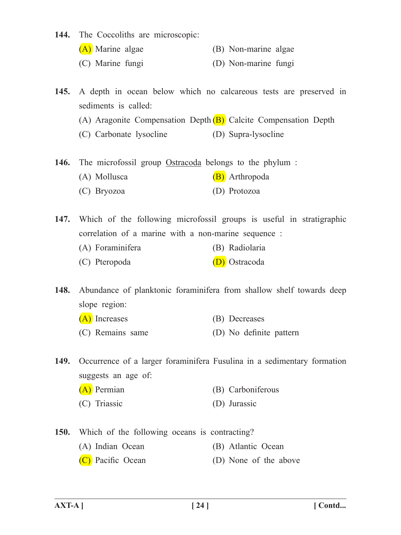- 144. The Coccoliths are microscopic:
	- $(A)$  Marine algae  $(B)$  Non-marine algae
	- (C) Marine fungi (D) Non-marine fungi
- **145.** A depth in ocean below which no calcareous tests are preserved in sediments is called:
	- (A) Aragonite Compensation Depth  $(B)$  Calcite Compensation Depth
	- (C) Carbonate lysocline (D) Supra-lysocline
- 146. The microfossil group Ostracoda belongs to the phylum :
	- (A) Mollusca  $(B)$  Arthropoda
	- (C) Bryozoa (D) Protozoa

147. Which of the following microfossil groups is useful in stratigraphic correlation of a marine with a non-marine sequence :

- (A) Foraminifera (B) Radiolaria
- (C) Pteropoda (D) Ostracoda

148. Abundance of planktonic foraminifera from shallow shelf towards deep slope region:

- (A) Increases (B) Decreases
- (C) Remains same (D) No definite pattern

**149.** Occurrence of a larger foraminifera Fusulina in a sedimentary formation suggests an age of:

| (A) Permian  | (B) Carboniferous |
|--------------|-------------------|
| (C) Triassic | (D) Jurassic      |

- 
- **150.** Which of the following oceans is contracting?
	- (A) Indian Ocean (B) Atlantic Ocean
	- (C) Pacific Ocean (D) None of the above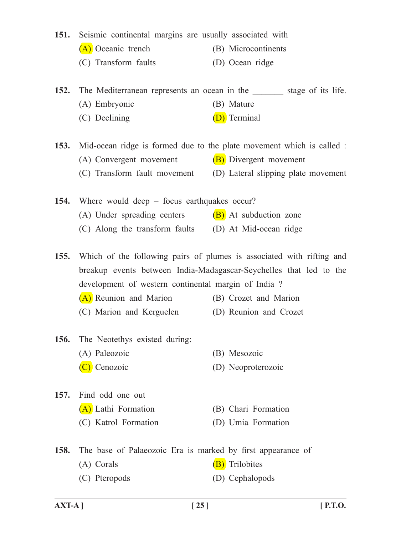151. Seismic continental margins are usually associated with

- (A) Oceanic trench (B) Microcontinents
- (C) Transform faults (D) Ocean ridge

**152.** The Mediterranean represents an ocean in the stage of its life. (A) Embryonic (B) Mature

(C) Declining (D) Terminal

**153.** Mid-ocean ridge is formed due to the plate movement which is called :

- (A) Convergent movement  $(B)$  Divergent movement
- (C) Transform fault movement (D) Lateral slipping plate movement

**154.** Where would deep – focus earthquakes occur? (A) Under spreading centers  $(B)$  At subduction zone (C) Along the transform faults (D) At Mid-ocean ridge

**155.** Which of the following pairs of plumes is associated with rifting and breakup events between India-Madagascar-Seychelles that led to the development of western continental margin of India ?

- (A) Reunion and Marion (B) Crozet and Marion
- (C) Marion and Kerguelen (D) Reunion and Crozet
- **156.** The Neotethys existed during: (A) Paleozoic (B) Mesozoic
	- (C) Cenozoic (D) Neoproterozoic
- 157. Find odd one out (A) Lathi Formation (B) Chari Formation
	- (C) Katrol Formation (D) Umia Formation
- 158. The base of Palaeozoic Era is marked by first appearance of
	- (A) Corals  $(B)$  Trilobites
	- (C) Pteropods (D) Cephalopods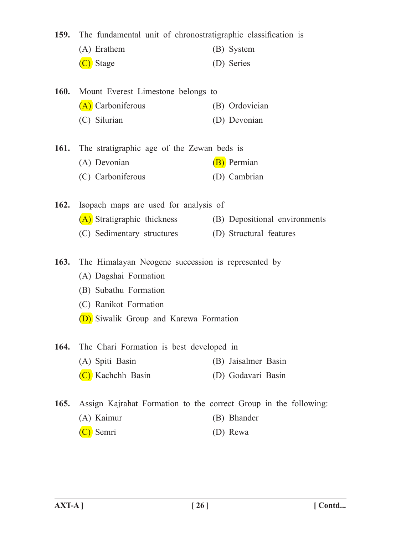|      | 159. The fundamental unit of chronostratigraphic classification is |                               |
|------|--------------------------------------------------------------------|-------------------------------|
|      | (A) Erathem                                                        | (B) System                    |
|      | (C) Stage                                                          | (D) Series                    |
|      |                                                                    |                               |
|      | 160. Mount Everest Limestone belongs to                            |                               |
|      | (A) Carboniferous                                                  | (B) Ordovician                |
|      | (C) Silurian                                                       | (D) Devonian                  |
|      | 161. The stratigraphic age of the Zewan beds is                    |                               |
|      | (A) Devonian                                                       | (B) Permian                   |
|      | (C) Carboniferous                                                  | (D) Cambrian                  |
| 162. | Isopach maps are used for analysis of                              |                               |
|      | (A) Stratigraphic thickness                                        | (B) Depositional environments |
|      | (C) Sedimentary structures                                         | (D) Structural features       |
| 163. | The Himalayan Neogene succession is represented by                 |                               |
|      | (A) Dagshai Formation                                              |                               |
|      | (B) Subathu Formation                                              |                               |
|      | (C) Ranikot Formation                                              |                               |
|      | (D) Siwalik Group and Karewa Formation                             |                               |
|      |                                                                    |                               |
| 164. | The Chari Formation is best developed in                           |                               |
|      | (A) Spiti Basin                                                    | (B) Jaisalmer Basin           |
|      | (C) Kachchh Basin                                                  | (D) Godavari Basin            |
| 165. | Assign Kajrahat Formation to the correct Group in the following:   |                               |
|      | (A) Kaimur                                                         | (B) Bhander                   |
|      | Semri                                                              | (D) Rewa                      |
|      |                                                                    |                               |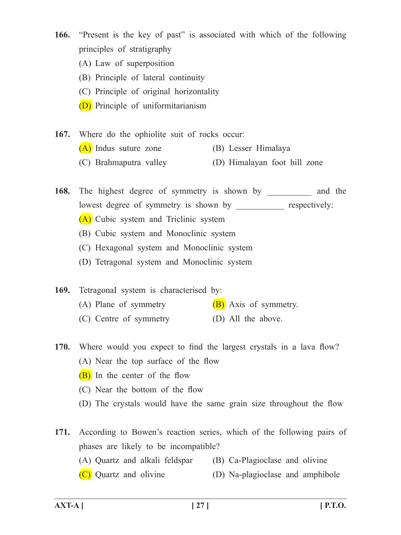**166.** "Present is the key of past" is associated with which of the following principles of stratigraphy

- (A) Law of superposition
- (B) Principle of lateral continuity
- (C) Principle of original horizontality
- (D) Principle of uniformitarianism
- 167. Where do the ophiolite suit of rocks occur:  $(A)$  Indus suture zone  $(B)$  Lesser Himalaya (C) Brahmaputra valley (D) Himalayan foot hill zone

168. The highest degree of symmetry is shown by and the lowest degree of symmetry is shown by \_\_\_\_\_\_\_\_\_\_\_ respectively:

- (A) Cubic system and Triclinic system
- (B) Cubic system and Monoclinic system
- (C) Hexagonal system and Monoclinic system
- (D) Tetragonal system and Monoclinic system

169. Tetragonal system is characterised by: (A) Plane of symmetry  $(B)$  Axis of symmetry. (C) Centre of symmetry (D) All the above.

- **170.** Where would you expect to find the largest crystals in a lava flow? (A) Near the top surface of the flow
	- $(B)$  In the center of the flow
	- (C) Near the bottom of the flow
	- (D) The crystals would have the same grain size throughout the flow
- **171.** According to Bowen's reaction series, which of the following pairs of phases are likely to be incompatible? (A) Quartz and alkali feldspar (B) Ca-Plagioclase and olivine
	- $(C)$  Quartz and olivine  $(D)$  Na-plagioclase and amphibole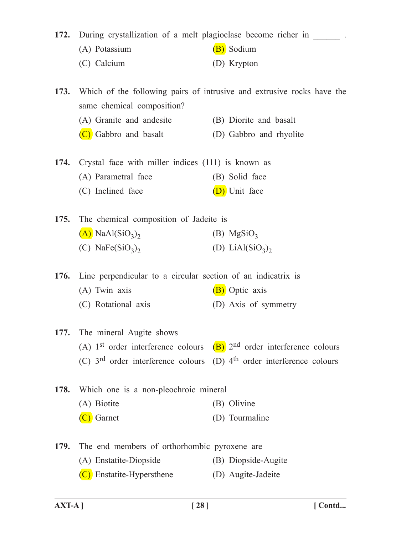**172.** During crystallization of a melt plagioclase become richer in

- (A) Potassium  $(B)$  Sodium
- (C) Calcium (D) Krypton

**173.** Which of the following pairs of intrusive and extrusive rocks have the same chemical composition?

- (A) Granite and andesite (B) Diorite and basalt
- (C) Gabbro and basalt (D) Gabbro and rhyolite
- 174. Crystal face with miller indices (111) is known as (A) Parametral face (B) Solid face  $(C)$  Inclined face  $(D)$  Unit face

**175.** The chemical composition of Jadeite is  $(A)$  NaAl(SiO<sub>3</sub>)<sub>2</sub> (B) MgSiO<sub>3</sub> (C) NaFe $(SiO_3)$ <sub>2</sub> (D) LiAl $(SiO_3)$ <sub>2</sub>

176. Line perpendicular to a circular section of an indicatrix is (A) Twin axis  $(B)$  Optic axis (C) Rotational axis (D) Axis of symmetry

## **177.** The mineral Augite shows (A) 1<sup>st</sup> order interference colours  $(B)$  2<sup>nd</sup> order interference colours (C)  $3<sup>rd</sup>$  order interference colours (D)  $4<sup>th</sup>$  order interference colours

- **178.** Which one is a non-pleochroic mineral (A) Biotite (B) Olivine (C) Garnet (D) Tourmaline
- 179. The end members of orthorhombic pyroxene are (A) Enstatite-Diopside (B) Diopside-Augite
	- $(C)$  Enstatite-Hypersthene  $(D)$  Augite-Jadeite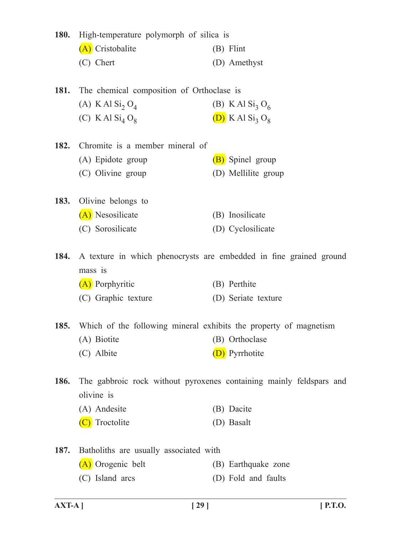| <b>180.</b> | High-temperature polymorph of silica is   |                                                                     |  |
|-------------|-------------------------------------------|---------------------------------------------------------------------|--|
|             | (A) Cristobalite                          | (B) Flint                                                           |  |
|             | (C) Chert                                 | (D) Amethyst                                                        |  |
| 181.        | The chemical composition of Orthoclase is |                                                                     |  |
|             | (A) K Al $\text{Si}_2\text{O}_4$          | (B) K Al $Si_3 O_6$                                                 |  |
|             | (C) K Al $Si4 O8$                         | $(D)$ K Al Si <sub>3</sub> O <sub>8</sub>                           |  |
| 182.        | Chromite is a member mineral of           |                                                                     |  |
|             | (A) Epidote group                         | (B) Spinel group                                                    |  |
|             | (C) Olivine group                         | (D) Mellilite group                                                 |  |
| 183.        | Olivine belongs to                        |                                                                     |  |
|             | (A) Nesosilicate                          | (B) Inosilicate                                                     |  |
|             | (C) Sorosilicate                          | (D) Cyclosilicate                                                   |  |
| 184.        | mass is                                   | A texture in which phenocrysts are embedded in fine grained ground  |  |
|             | (A) Porphyritic                           | (B) Perthite                                                        |  |
|             | (C) Graphic texture                       | (D) Seriate texture                                                 |  |
| <b>185.</b> |                                           | Which of the following mineral exhibits the property of magnetism   |  |
|             | (A) Biotite                               | (B) Orthoclase                                                      |  |
|             | (C) Albite                                | (D) Pyrrhotite                                                      |  |
| 186.        | olivine is                                | The gabbroic rock without pyroxenes containing mainly feldspars and |  |
|             | (A) Andesite                              | (B) Dacite                                                          |  |
|             | (C) Troctolite                            | (D) Basalt                                                          |  |
| 187.        | Batholiths are usually associated with    |                                                                     |  |
|             | (A) Orogenic belt                         | (B) Earthquake zone                                                 |  |
|             | (C) Island arcs                           | (D) Fold and faults                                                 |  |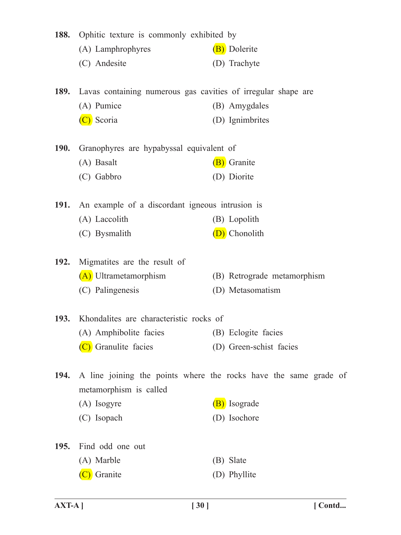| 188.        | Ophitic texture is commonly exhibited by                      |                                                                  |
|-------------|---------------------------------------------------------------|------------------------------------------------------------------|
|             | (A) Lamphrophyres                                             | (B) Dolerite                                                     |
|             | (C) Andesite                                                  | (D) Trachyte                                                     |
| <b>189.</b> | Lavas containing numerous gas cavities of irregular shape are |                                                                  |
|             | (A) Pumice                                                    | (B) Amygdales                                                    |
|             | (C) Scoria                                                    | (D) Ignimbrites                                                  |
| <b>190.</b> | Granophyres are hypabyssal equivalent of                      |                                                                  |
|             | (A) Basalt                                                    | (B) Granite                                                      |
|             | (C) Gabbro                                                    | (D) Diorite                                                      |
|             | 191. An example of a discordant igneous intrusion is          |                                                                  |
|             | (A) Laccolith                                                 | (B) Lopolith                                                     |
|             | (C) Bysmalith                                                 | (D) Chonolith                                                    |
|             | 192. Migmatites are the result of                             |                                                                  |
|             | (A) Ultrametamorphism                                         | (B) Retrograde metamorphism                                      |
|             | (C) Palingenesis                                              | (D) Metasomatism                                                 |
|             | 193. Khondalites are characteristic rocks of                  |                                                                  |
|             | (A) Amphibolite facies (B) Eclogite facies                    |                                                                  |
|             | (C) Granulite facies                                          | (D) Green-schist facies                                          |
| 194.        |                                                               | A line joining the points where the rocks have the same grade of |
|             | metamorphism is called                                        |                                                                  |
|             | (A) Isogyre                                                   | (B) Isograde                                                     |
|             | (C) Isopach                                                   | (D) Isochore                                                     |
| <b>195.</b> | Find odd one out                                              |                                                                  |
|             | (A) Marble                                                    | (B) Slate                                                        |
|             | Granite                                                       | (D) Phyllite                                                     |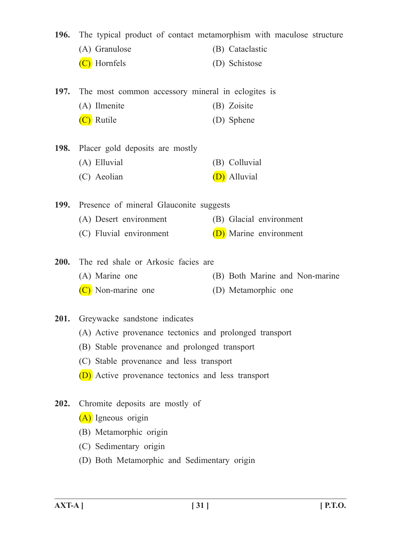| 196.        | The typical product of contact metamorphism with maculose structure |                                |  |
|-------------|---------------------------------------------------------------------|--------------------------------|--|
|             | (A) Granulose                                                       | (B) Cataclastic                |  |
|             | (C) Hornfels                                                        | (D) Schistose                  |  |
|             |                                                                     |                                |  |
| 197.        | The most common accessory mineral in eclogites is                   |                                |  |
|             | (A) Ilmenite                                                        | (B) Zoisite                    |  |
|             | (C) Rutile                                                          | (D) Sphene                     |  |
|             |                                                                     |                                |  |
| <b>198.</b> | Placer gold deposits are mostly                                     |                                |  |
|             | (A) Elluvial                                                        | (B) Colluvial                  |  |
|             | (C) Aeolian                                                         | (D) Alluvial                   |  |
|             |                                                                     |                                |  |
| 199.        | Presence of mineral Glauconite suggests                             |                                |  |
|             | (A) Desert environment                                              | (B) Glacial environment        |  |
|             | (C) Fluvial environment                                             | (D) Marine environment         |  |
| 200.        | The red shale or Arkosic facies are                                 |                                |  |
|             | (A) Marine one                                                      | (B) Both Marine and Non-marine |  |
|             | $(C)$ Non-marine one                                                | (D) Metamorphic one            |  |
|             |                                                                     |                                |  |
| 201.        | Greywacke sandstone indicates                                       |                                |  |
|             | (A) Active provenance tectonics and prolonged transport             |                                |  |
|             | (B) Stable provenance and prolonged transport                       |                                |  |
|             | (C) Stable provenance and less transport                            |                                |  |
|             | (D) Active provenance tectonics and less transport                  |                                |  |
|             |                                                                     |                                |  |
| 202.        | Chromite deposits are mostly of                                     |                                |  |
|             | (A) Igneous origin                                                  |                                |  |
|             | (B) Metamorphic origin                                              |                                |  |
|             | (C) Sedimentary origin                                              |                                |  |
|             | (D) Both Metamorphic and Sedimentary origin                         |                                |  |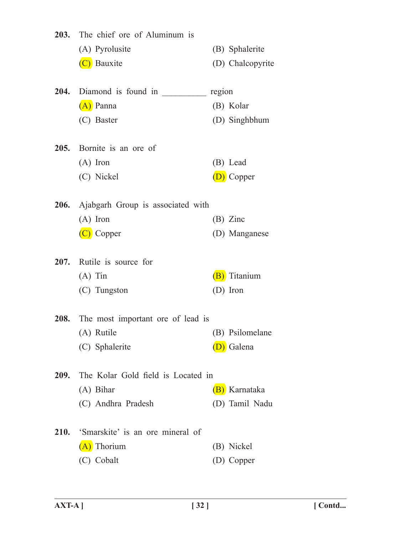|             | 203. The chief ore of Aluminum is             |        |                  |
|-------------|-----------------------------------------------|--------|------------------|
|             | (A) Pyrolusite                                |        | (B) Sphalerite   |
|             | (C) Bauxite                                   |        | (D) Chalcopyrite |
|             |                                               | region |                  |
|             | $\overline{(A)}$ Panna                        |        | (B) Kolar        |
|             | (C) Baster                                    |        | (D) Singhbhum    |
|             | 205. Bornite is an ore of                     |        |                  |
|             | $(A)$ Iron                                    |        | (B) Lead         |
|             | (C) Nickel                                    |        | (D) Copper       |
|             | <b>206.</b> Ajabgarh Group is associated with |        |                  |
|             | $(A)$ Iron                                    |        | $(B)$ Zinc       |
|             | (C) Copper                                    |        | (D) Manganese    |
|             | 207. Rutile is source for                     |        |                  |
|             | $(A)$ Tin                                     |        | (B) Titanium     |
|             | (C) Tungston                                  |        | (D) Iron         |
|             | <b>208.</b> The most important ore of lead is |        |                  |
|             | (A) Rutile                                    |        | (B) Psilomelane  |
|             | (C) Sphalerite                                |        | (D) Galena       |
| <b>209.</b> | The Kolar Gold field is Located in            |        |                  |
|             | $(A)$ Bihar                                   |        | (B) Karnataka    |
|             | (C) Andhra Pradesh                            |        | (D) Tamil Nadu   |
|             | 210. 'Smarskite' is an ore mineral of         |        |                  |
|             | (A) Thorium                                   |        | (B) Nickel       |
|             | (C) Cobalt                                    |        | (D) Copper       |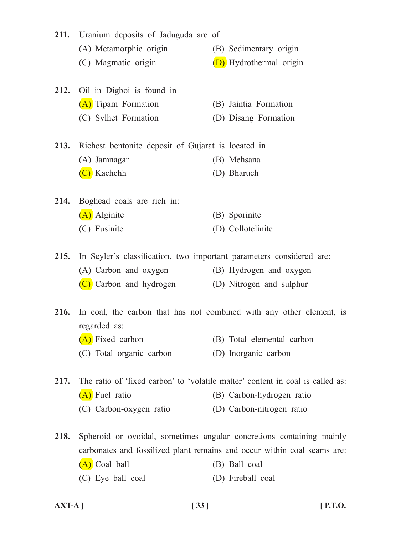| 211.        | Uranium deposits of Jaduguda are of                                  |                                                                                |  |
|-------------|----------------------------------------------------------------------|--------------------------------------------------------------------------------|--|
|             | (A) Metamorphic origin                                               | (B) Sedimentary origin                                                         |  |
|             | (C) Magmatic origin                                                  | (D) Hydrothermal origin                                                        |  |
|             | 212. Oil in Digboi is found in                                       |                                                                                |  |
|             | (A) Tipam Formation                                                  | (B) Jaintia Formation                                                          |  |
|             | (C) Sylhet Formation                                                 | (D) Disang Formation                                                           |  |
| 213.        | Richest bentonite deposit of Gujarat is located in                   |                                                                                |  |
|             | (A) Jamnagar                                                         | (B) Mehsana                                                                    |  |
|             | $(C)$ Kachchh                                                        | (D) Bharuch                                                                    |  |
| 214.        | Boghead coals are rich in:                                           |                                                                                |  |
|             | (A) Alginite                                                         | (B) Sporinite                                                                  |  |
|             | (C) Fusinite                                                         | (D) Collotelinite                                                              |  |
| 215.        | In Seyler's classification, two important parameters considered are: |                                                                                |  |
|             | (A) Carbon and oxygen                                                | (B) Hydrogen and oxygen                                                        |  |
|             | (C) Carbon and hydrogen                                              | (D) Nitrogen and sulphur                                                       |  |
| <b>216.</b> | In coal, the carbon that has not combined with any other element, is |                                                                                |  |
|             | regarded as:                                                         |                                                                                |  |
|             | (A) Fixed carbon                                                     | (B) Total elemental carbon                                                     |  |
|             | (C) Total organic carbon                                             | (D) Inorganic carbon                                                           |  |
| 217.        |                                                                      | The ratio of 'fixed carbon' to 'volatile matter' content in coal is called as: |  |
|             | (A) Fuel ratio                                                       | (B) Carbon-hydrogen ratio                                                      |  |
|             | (C) Carbon-oxygen ratio                                              | (D) Carbon-nitrogen ratio                                                      |  |
| 218.        |                                                                      | Spheroid or ovoidal, sometimes angular concretions containing mainly           |  |
|             |                                                                      | carbonates and fossilized plant remains and occur within coal seams are:       |  |
|             | (A) Coal ball                                                        | (B) Ball coal                                                                  |  |
|             | (C) Eye ball coal                                                    | (D) Fireball coal                                                              |  |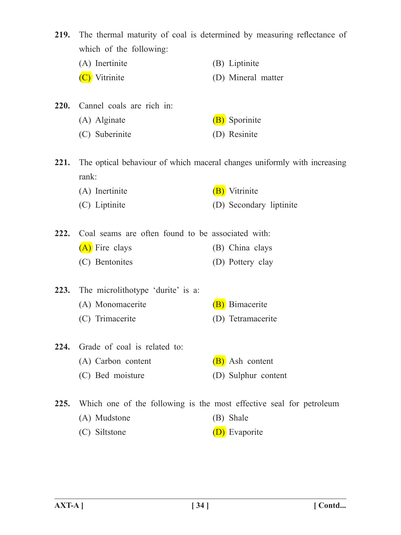| <b>219.</b>   | The thermal maturity of coal is determined by measuring reflectance of<br>which of the following: |                                                                          |
|---------------|---------------------------------------------------------------------------------------------------|--------------------------------------------------------------------------|
|               | (A) Inertinite                                                                                    | (B) Liptinite                                                            |
|               | (C) Vitrinite                                                                                     | (D) Mineral matter                                                       |
| <b>220.</b>   | Cannel coals are rich in:                                                                         |                                                                          |
|               | (A) Alginate                                                                                      | (B) Sporinite                                                            |
|               | (C) Suberinite                                                                                    | (D) Resinite                                                             |
| 221.<br>rank: |                                                                                                   | The optical behaviour of which maceral changes uniformly with increasing |
|               | (A) Inertinite                                                                                    | (B) Vitrinite                                                            |
|               | (C) Liptinite                                                                                     | (D) Secondary liptinite                                                  |
| 222.          | Coal seams are often found to be associated with:                                                 |                                                                          |
|               | (A) Fire clays                                                                                    | (B) China clays                                                          |
|               | (C) Bentonites                                                                                    | (D) Pottery clay                                                         |
| 223.          | The microlithotype 'durite' is a:                                                                 |                                                                          |
|               | (A) Monomacerite                                                                                  | (B) Bimacerite                                                           |
|               | (C) Trimacerite                                                                                   | (D) Tetramacerite                                                        |
| 224.          | Grade of coal is related to:                                                                      |                                                                          |
|               | (A) Carbon content                                                                                | (B) Ash content                                                          |
|               | (C) Bed moisture                                                                                  | (D) Sulphur content                                                      |
| 225.          | Which one of the following is the most effective seal for petroleum                               |                                                                          |
|               | (A) Mudstone                                                                                      | (B) Shale                                                                |
|               | (C) Siltstone                                                                                     | (D) Evaporite                                                            |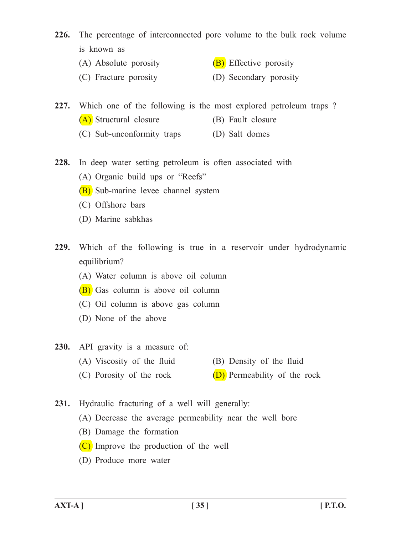- 226. The percentage of interconnected pore volume to the bulk rock volume is known as
	- (A) Absolute porosity  $(B)$  Effective porosity
	- (C) Fracture porosity (D) Secondary porosity

**227.** Which one of the following is the most explored petroleum traps ?

- (A) Structural closure (B) Fault closure
- (C) Sub-unconformity traps (D) Salt domes
- 228. In deep water setting petroleum is often associated with
	- (A) Organic build ups or "Reefs"
	- (B) Sub-marine levee channel system
	- (C) Offshore bars
	- (D) Marine sabkhas
- **229.** Which of the following is true in a reservoir under hydrodynamic equilibrium?
	- (A) Water column is above oil column
	- (B) Gas column is above oil column
	- (C) Oil column is above gas column
	- (D) None of the above
- **230.** API gravity is a measure of:
	- (A) Viscosity of the fluid (B) Density of the fluid
	- (C) Porosity of the rock  $(D)$  Permeability of the rock
- 231. Hydraulic fracturing of a well will generally:
	- (A) Decrease the average permeability near the well bore
	- (B) Damage the formation
	- (C) Improve the production of the well
	- (D) Produce more water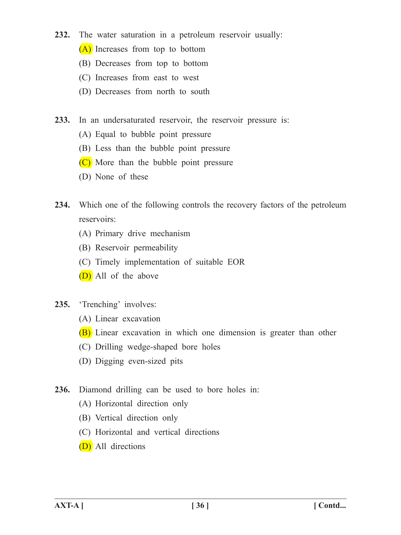- **232.** The water saturation in a petroleum reservoir usually:
	- (A) Increases from top to bottom
	- (B) Decreases from top to bottom
	- (C) Increases from east to west
	- (D) Decreases from north to south
- 233. In an undersaturated reservoir, the reservoir pressure is:
	- (A) Equal to bubble point pressure
	- (B) Less than the bubble point pressure
	- (C) More than the bubble point pressure
	- (D) None of these
- **234.** Which one of the following controls the recovery factors of the petroleum reservoirs:
	- (A) Primary drive mechanism
	- (B) Reservoir permeability
	- (C) Timely implementation of suitable EOR
	- (D) All of the above
- 235. Trenching' involves:
	- (A) Linear excavation
	- **(B)** Linear excavation in which one dimension is greater than other
	- (C) Drilling wedge-shaped bore holes
	- (D) Digging even-sized pits
- **236.** Diamond drilling can be used to bore holes in:
	- (A) Horizontal direction only
	- (B) Vertical direction only
	- (C) Horizontal and vertical directions
	- (D) All directions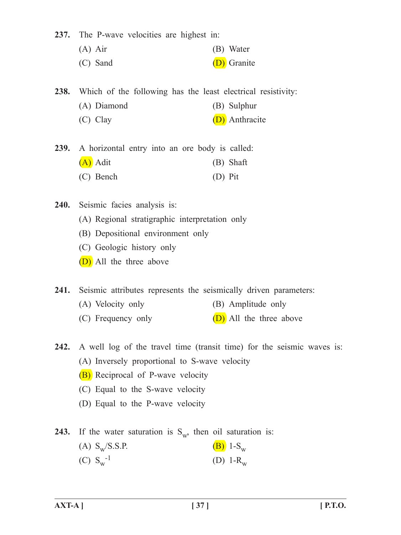237. The P-wave velocities are highest in:

- (A) Air (B) Water
- (C) Sand (D) Granite

238. Which of the following has the least electrical resistivity:

- (A) Diamond (B) Sulphur
- (C) Clay (D) Anthracite

239. A horizontal entry into an ore body is called:  $(A)$  Adit (B) Shaft (C) Bench (D) Pit

240. Seismic facies analysis is:

- (A) Regional stratigraphic interpretation only
- (B) Depositional environment only
- (C) Geologic history only
- (D) All the three above

241. Seismic attributes represents the seismically driven parameters:

- (A) Velocity only (B) Amplitude only
- (C) Frequency only  $(D)$  All the three above
- **242.** A well log of the travel time (transit time) for the seismic waves is: (A) Inversely proportional to S-wave velocity
	- (B) Reciprocal of P-wave velocity
	- (C) Equal to the S-wave velocity
	- (D) Equal to the P-wave velocity

**243.** If the water saturation is  $S_{w}$ , then oil saturation is:

(A)  $S_w/S.S.P.$  (B)  $1-S_w$ (C)  $S_w^{-1}$ (D)  $1 - R_w$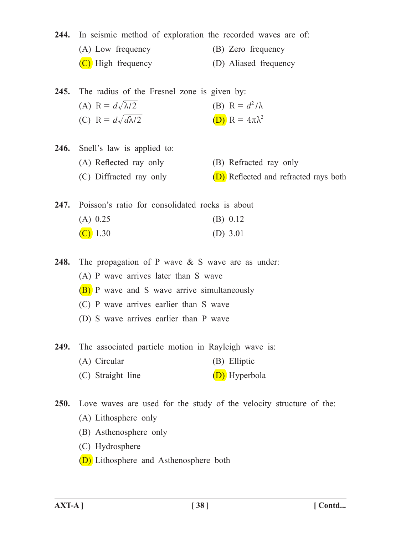244. In seismic method of exploration the recorded waves are of: (A) Low frequency (B) Zero frequency (C) High frequency (D) Aliased frequency

245. The radius of the Fresnel zone is given by: (A)  $R = d\sqrt{\lambda/2}$  (B)  $R = d^2/\lambda$ (C)  $R = d\sqrt{d\lambda/2}$  (D)  $R = 4\pi\lambda^2$ 

246. Snell's law is applied to: (A) Reflected ray only (B) Refracted ray only (C) Diffracted ray only  $(D)$  Reflected and refracted rays both

247. Poisson's ratio for consolidated rocks is about  $(A)$  0.25 (B) 0.12  $(C)$  1.30 (D) 3.01

**248.** The propagation of P wave & S wave are as under:

 (A) P wave arrives later than S wave

- $(B)$  P wave and S wave arrive simultaneously
- (C) P wave arrives earlier than S wave
- (D) S wave arrives earlier than P wave

249. The associated particle motion in Rayleigh wave is:

- (A) Circular (B) Elliptic
- (C) Straight line  $(D)$  Hyperbola
- **250.** Love waves are used for the study of the velocity structure of the: (A) Lithosphere only
	- (B) Asthenosphere only
	- (C) Hydrosphere
	- (D) Lithosphere and Asthenosphere both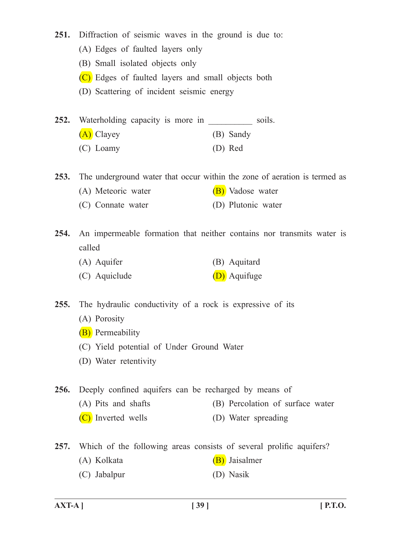- 251. Diffraction of seismic waves in the ground is due to:
	- (A) Edges of faulted layers only
	- (B) Small isolated objects only
	- (C) Edges of faulted layers and small objects both
	- (D) Scattering of incident seismic energy
- **252.** Waterholding capacity is more in soils. (A) Clayey (B) Sandy (C) Loamy (D) Red

**253.** The underground water that occur within the zone of aeration is termed as

- (A) Meteoric water  $(B)$  Vadose water
- (C) Connate water (D) Plutonic water

**254.** An impermeable formation that neither contains nor transmits water is called

- (A) Aquifer (B) Aquitard
- $(C)$  Aquiclude  $(D)$  Aquifuge

255. The hydraulic conductivity of a rock is expressive of its

- (A) Porosity
- **(B)** Permeability
- (C) Yield potential of Under Ground Water
- (D) Water retentivity

256. Deeply confined aquifers can be recharged by means of

- (A) Pits and shafts (B) Percolation of surface water
- (C) Inverted wells (D) Water spreading

**257.** Which of the following areas consists of several prolific aquifers?

- (A) Kolkata (B) Jaisalmer
- (C) Jabalpur (D) Nasik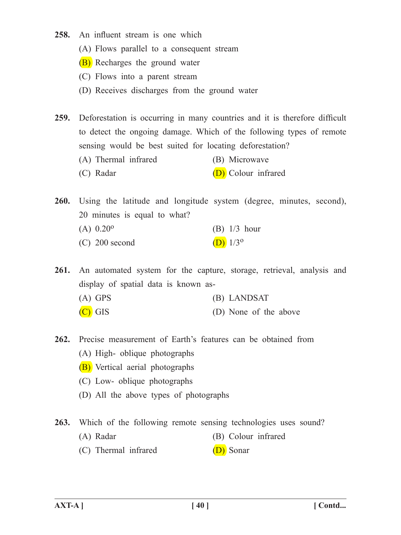- 258. An influent stream is one which
	- (A) Flows parallel to a consequent stream
	- (B) Recharges the ground water
	- (C) Flows into a parent stream
	- (D) Receives discharges from the ground water
- **259.** Deforestation is occurring in many countries and it is therefore difficult to detect the ongoing damage. Which of the following types of remote sensing would be best suited for locating deforestation?
	- (A) Thermal infrared (B) Microwave
	- (C) Radar  $(D)$  Colour infrared

260. Using the latitude and longitude system (degree, minutes, second), 20 minutes is equal to what?

(A)  $0.20^{\circ}$  (B)  $1/3$  hour (C) 200 second (D)  $1/3^{\circ}$ 

261. An automated system for the capture, storage, retrieval, analysis and display of spatial data is known as- (A) GPS (B) LANDSAT

- $(C)$  GIS (D) None of the above
- **262.** Precise measurement of Earth's features can be obtained from (A) High- oblique photographs
	- (B) Vertical aerial photographs
	- (C) Low- oblique photographs
	- (D) All the above types of photographs

**263.** Which of the following remote sensing technologies uses sound?

- (A) Radar (B) Colour infrared
- $(C)$  Thermal infrared  $(D)$  Sonar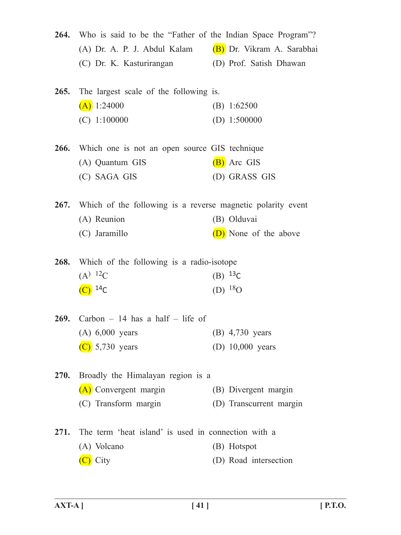|             | 264. Who is said to be the "Father of the Indian Space Program"? |                         |
|-------------|------------------------------------------------------------------|-------------------------|
|             | (A) Dr. A. P. J. Abdul Kalam (B) Dr. Vikram A. Sarabhai          |                         |
|             | (C) Dr. K. Kasturirangan                                         | (D) Prof. Satish Dhawan |
|             | <b>265.</b> The largest scale of the following is.               |                         |
|             | $(A)$ 1:24000                                                    | (B) $1:62500$           |
|             | $(C)$ 1:100000                                                   | (D) $1:500000$          |
|             | <b>266.</b> Which one is not an open source GIS technique        |                         |
|             | (A) Quantum GIS                                                  | (B) Arc GIS             |
|             | (C) SAGA GIS                                                     | (D) GRASS GIS           |
|             | 267. Which of the following is a reverse magnetic polarity event |                         |
|             | (A) Reunion                                                      | (B) Olduvai             |
|             | (C) Jaramillo                                                    | (D) None of the above   |
|             | <b>268.</b> Which of the following is a radio-isotope            |                         |
|             | $(A)$ <sup>12</sup> C                                            | (B) $^{13}C$            |
|             | $(C)^{14}C$                                                      | (D) $^{18}$ O           |
|             | 269. Carbon $-14$ has a half $-$ life of                         |                         |
|             | $(A)$ 6,000 years                                                | (B) 4,730 years         |
|             | $(C)$ 5,730 years                                                | (D) 10,000 years        |
| <b>270.</b> | Broadly the Himalayan region is a                                |                         |
|             | (A) Convergent margin                                            | (B) Divergent margin    |
|             | (C) Transform margin                                             | (D) Transcurrent margin |
| 271.        | The term 'heat island' is used in connection with a              |                         |
|             | (A) Volcano                                                      | (B) Hotspot             |
|             | (C) City                                                         | (D) Road intersection   |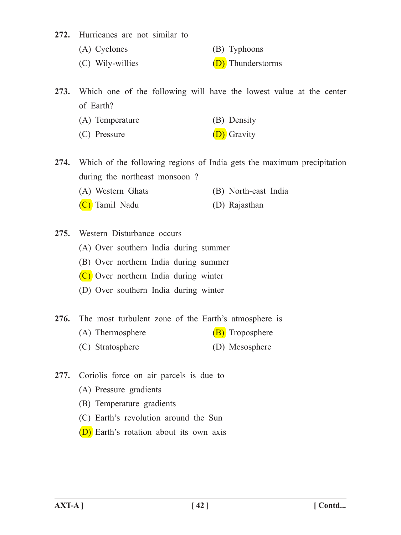272. Hurricanes are not similar to

- (A) Cyclones (B) Typhoons
- (C) Wily-willies  $(D)$  Thunderstorms

**273.** Which one of the following will have the lowest value at the center of Earth?

| (A) Temperature | (B) Density |
|-----------------|-------------|
|-----------------|-------------|

(C) Pressure  $(D)$  Gravity

**274.** Which of the following regions of India gets the maximum precipitation during the northeast monsoon ?

- (A) Western Ghats (B) North-east India
- (C) Tamil Nadu (D) Rajasthan
- 275. Western Disturbance occurs
	- (A) Over southern India during summer
	- (B) Over northern India during summer
	- (C) Over northern India during winter
	- (D) Over southern India during winter
- 276. The most turbulent zone of the Earth's atmosphere is
	- (A) Thermosphere  $(B)$  Troposphere
	- (C) Stratosphere (D) Mesosphere
- **277.** Coriolis force on air parcels is due to
	- (A) Pressure gradients
	- (B) Temperature gradients
	- (C) Earth's revolution around the Sun
	- (D) Earth's rotation about its own axis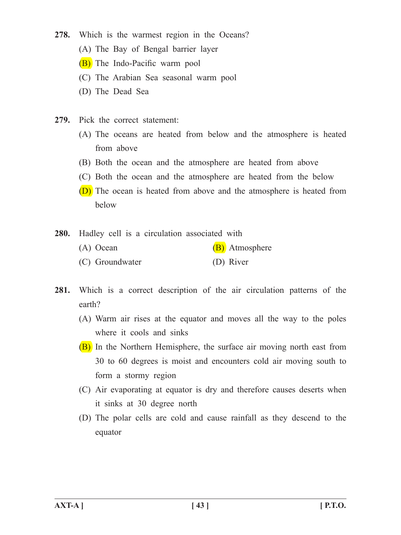- 278. Which is the warmest region in the Oceans?
	- (A) The Bay of Bengal barrier layer
	- (B) The Indo-Pacific warm pool
	- (C) The Arabian Sea seasonal warm pool
	- (D) The Dead Sea
- 279. Pick the correct statement:
	- (A) The oceans are heated from below and the atmosphere is heated from above
	- (B) Both the ocean and the atmosphere are heated from above
	- (C) Both the ocean and the atmosphere are heated from the below
	- **(D)** The ocean is heated from above and the atmosphere is heated from below
- 280. Hadley cell is a circulation associated with
	- (A) Ocean (B) Atmosphere
	- (C) Groundwater (D) River
- **281.** Which is a correct description of the air circulation patterns of the earth?
	- (A) Warm air rises at the equator and moves all the way to the poles where it cools and sinks
	- (B) In the Northern Hemisphere, the surface air moving north east from 30 to 60 degrees is moist and encounters cold air moving south to form a stormy region
	- (C) Air evaporating at equator is dry and therefore causes deserts when it sinks at 30 degree north
	- (D) The polar cells are cold and cause rainfall as they descend to the equator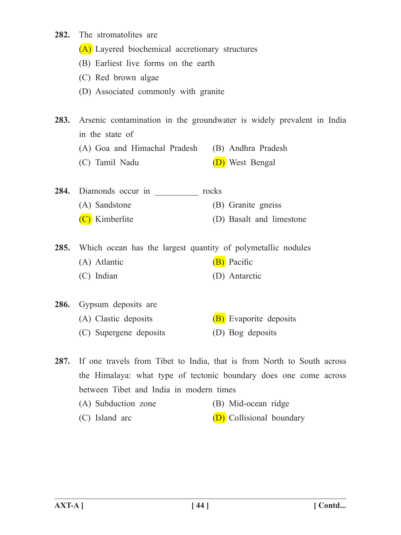- **282.** The stromatolites are
	- (A) Layered biochemical accretionary structures
	- (B) Earliest live forms on the earth
	- (C) Red brown algae
	- (D) Associated commonly with granite
- **283.** Arsenic contamination in the groundwater is widely prevalent in India in the state of
	- (A) Goa and Himachal Pradesh (B) Andhra Pradesh
	- (C) Tamil Nadu (D) West Bengal
- 284. Diamonds occur in rocks (A) Sandstone (B) Granite gneiss (C) Kimberlite (D) Basalt and limestone
- 
- 285. Which ocean has the largest quantity of polymetallic nodules
	- (A) Atlantic  $(B)$  Pacific
		- (C) Indian (D) Antarctic
- 286. Gypsum deposits are (A) Clastic deposits  $(B)$  Evaporite deposits (C) Supergene deposits (D) Bog deposits

287. If one travels from Tibet to India, that is from North to South across the Himalaya: what type of tectonic boundary does one come across between Tibet and India in modern times (A) Subduction zone (B) Mid-ocean ridge

(C) Island arc  $(D)$  Collisional boundary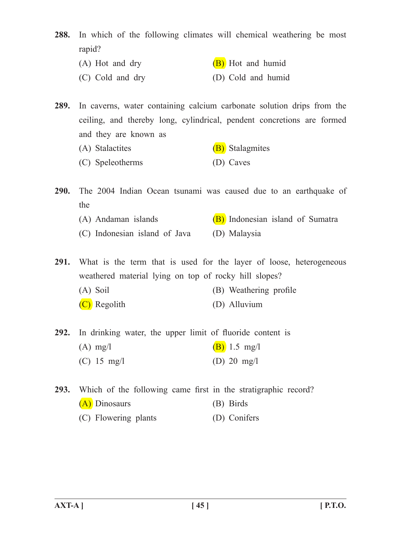**288.** In which of the following climates will chemical weathering be most rapid?

(A) Hot and dry  $(B)$  Hot and humid (C) Cold and dry (D) Cold and humid

**289.** In caverns, water containing calcium carbonate solution drips from the ceiling, and thereby long, cylindrical, pendent concretions are formed and they are known as

- (A) Stalactites (B) Stalagmites
- (C) Speleotherms (D) Caves

**290.** The 2004 Indian Ocean tsunami was caused due to an earthquake of the

- (A) Andaman islands  $(B)$  Indonesian island of Sumatra
- (C) Indonesian island of Java (D) Malaysia

291. What is the term that is used for the layer of loose, heterogeneous weathered material lying on top of rocky hill slopes?

- (A) Soil (B) Weathering profile
- $(C)$  Regolith (D) Alluvium
- 292. In drinking water, the upper limit of fluoride content is
	- (A) mg/l  $(B)$  1.5 mg/l (C)  $15 \text{ mg/l}$  (D)  $20 \text{ mg/l}$

**293.** Which of the following came first in the stratigraphic record? (A) Dinosaurs (B) Birds (C) Flowering plants (D) Conifers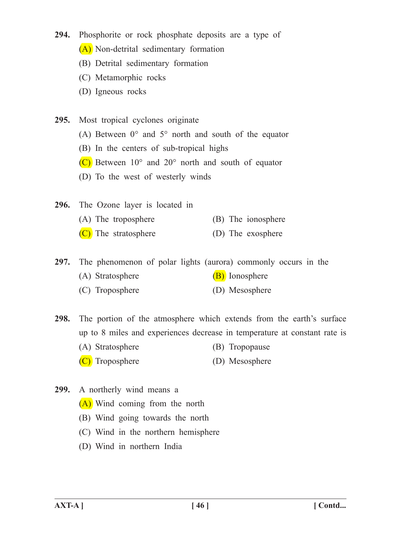- **294.** Phosphorite or rock phosphate deposits are a type of
	- (A) Non-detrital sedimentary formation
	- (B) Detrital sedimentary formation
	- (C) Metamorphic rocks
	- (D) Igneous rocks

**295.** Most tropical cyclones originate

- (A) Between  $0^{\circ}$  and  $5^{\circ}$  north and south of the equator
- (B) In the centers of sub-tropical highs
- (C) Between  $10^{\circ}$  and  $20^{\circ}$  north and south of equator
- (D) To the west of westerly winds
- **296.** The Ozone layer is located in
	- (A) The troposphere (B) The ionosphere
	- $(C)$  The stratosphere (D) The exosphere

**297.** The phenomenon of polar lights (aurora) commonly occurs in the

- (A) Stratosphere (B) Ionosphere
- (C) Troposphere (D) Mesosphere

298. The portion of the atmosphere which extends from the earth's surface up to 8 miles and experiences decrease in temperature at constant rate is

- (A) Stratosphere (B) Tropopause
- (C) Troposphere (D) Mesosphere
- **299.** A northerly wind means a
	- (A) Wind coming from the north
	- (B) Wind going towards the north
	- (C) Wind in the northern hemisphere
	- (D) Wind in northern India